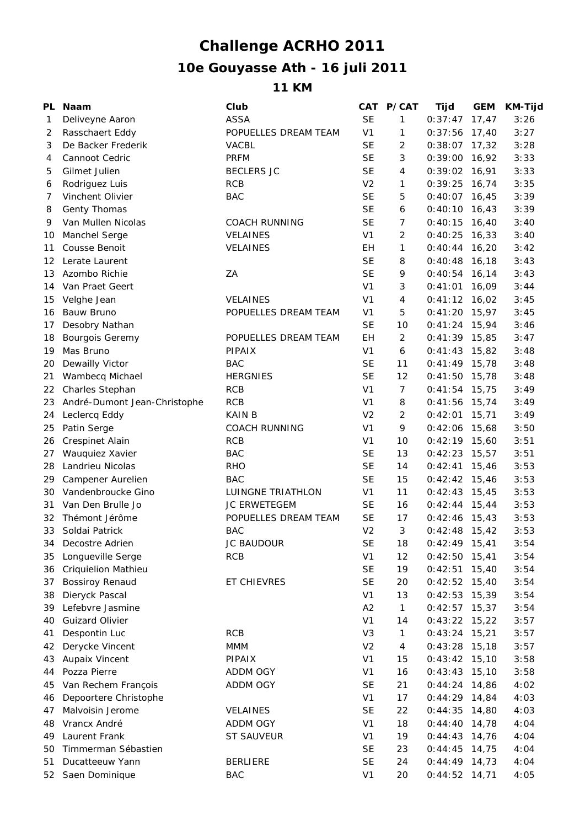## **10e Gouyasse Ath - 16 juli 2011 Challenge ACRHO 2011**

## **11 KM**

| PL | <b>Naam</b>                  | Club                 |                             | CAT P/CAT      | Tijd            | <b>GEM</b> | <b>KM-Tijd</b> |
|----|------------------------------|----------------------|-----------------------------|----------------|-----------------|------------|----------------|
| 1  | Deliveyne Aaron              | <b>ASSA</b>          | <b>SE</b>                   | 1              | 0:37:47         | 17,47      | 3:26           |
| 2  | Rasschaert Eddy              | POPUELLES DREAM TEAM | V <sub>1</sub>              | 1              | 0:37:56         | 17,40      | 3:27           |
| 3  | De Backer Frederik           | <b>VACBL</b>         | <b>SE</b>                   | $\overline{2}$ | 0:38:07         | 17,32      | 3:28           |
| 4  | Cannoot Cedric               | <b>PRFM</b>          | <b>SE</b>                   | 3              | 0:39:00         | 16,92      | 3:33           |
| 5  | Gilmet Julien                | <b>BECLERS JC</b>    | <b>SE</b>                   | 4              | 0:39:02         | 16,91      | 3:33           |
| 6  | Rodriguez Luis               | <b>RCB</b>           | V <sub>2</sub>              | 1              | 0:39:25         | 16,74      | 3:35           |
| 7  | Vinchent Olivier             | <b>BAC</b>           | <b>SE</b>                   | 5              | 0:40:07         | 16,45      | 3:39           |
| 8  | Genty Thomas                 |                      | <b>SE</b>                   | 6              | 0:40:10         | 16,43      | 3:39           |
| 9  | Van Mullen Nicolas           | <b>COACH RUNNING</b> | <b>SE</b>                   | $\overline{7}$ | 0:40:15         | 16,40      | 3:40           |
| 10 | Manchel Serge                | <b>VELAINES</b>      | V <sub>1</sub>              | $\overline{2}$ | 0:40:25         | 16,33      | 3:40           |
| 11 | Cousse Benoit                | <b>VELAINES</b>      | EН                          | 1              | 0:40:44         | 16,20      | 3:42           |
| 12 | Lerate Laurent               |                      | <b>SE</b>                   | 8              | 0:40:48         | 16,18      | 3:43           |
| 13 | Azombo Richie                | ZA                   | <b>SE</b>                   | 9              | 0:40:54         | 16,14      | 3:43           |
| 14 | Van Praet Geert              |                      | V <sub>1</sub>              | 3              | 0:41:01         | 16,09      | 3:44           |
| 15 | Velghe Jean                  | <b>VELAINES</b>      | V <sub>1</sub>              | 4              | $0:41:12$ 16,02 |            | 3:45           |
| 16 | Bauw Bruno                   | POPUELLES DREAM TEAM | V <sub>1</sub>              | 5              | 0:41:20         | 15,97      | 3:45           |
| 17 | Desobry Nathan               |                      | <b>SE</b>                   | 10             | $0:41:24$ 15,94 |            | 3:46           |
| 18 | <b>Bourgois Geremy</b>       | POPUELLES DREAM TEAM | EH                          | $\overline{2}$ | $0:41:39$ 15,85 |            | 3:47           |
| 19 | Mas Bruno                    | <b>PIPAIX</b>        | V <sub>1</sub>              | 6              | 0:41:43         | 15,82      | 3:48           |
| 20 | Dewailly Victor              | <b>BAC</b>           | <b>SE</b>                   | 11             | 0:41:49         | 15,78      | 3:48           |
| 21 | Wambecq Michael              | <b>HERGNIES</b>      | <b>SE</b>                   | 12             | 0:41:50         | 15,78      | 3:48           |
| 22 | Charles Stephan              | <b>RCB</b>           | V <sub>1</sub>              | $\overline{7}$ | 0:41:54         | 15,75      | 3:49           |
| 23 | André-Dumont Jean-Christophe | <b>RCB</b>           | V <sub>1</sub>              | 8              | 0:41:56         | 15,74      | 3:49           |
| 24 | Leclercq Eddy                | <b>KAIN B</b>        | V <sub>2</sub>              | 2              | 0:42:01         | 15,71      | 3:49           |
| 25 | Patin Serge                  | <b>COACH RUNNING</b> | V <sub>1</sub>              | 9              | 0:42:06         | 15,68      | 3:50           |
| 26 | Crespinet Alain              | <b>RCB</b>           | V <sub>1</sub>              | 10             | 0:42:19         | 15,60      | 3:51           |
| 27 | Wauquiez Xavier              | <b>BAC</b>           | <b>SE</b>                   | 13             | 0:42:23         | 15,57      | 3:51           |
| 28 | Landrieu Nicolas             | <b>RHO</b>           | <b>SE</b>                   | 14             | 0:42:41         | 15,46      | 3:53           |
| 29 | Campener Aurelien            | <b>BAC</b>           | <b>SE</b>                   | 15             | 0:42:42         | 15,46      | 3:53           |
| 30 | Vandenbroucke Gino           | LUINGNE TRIATHLON    | V <sub>1</sub>              | 11             | 0:42:43         | 15,45      | 3:53           |
|    | Van Den Brulle Jo            | JC ERWETEGEM         | <b>SE</b>                   | 16             | $0:42:44$ 15,44 |            | 3:53           |
| 31 | Thémont Jérôme               |                      | <b>SE</b>                   | 17             |                 |            | 3:53           |
| 32 |                              | POPUELLES DREAM TEAM |                             |                | 0:42:46         | 15,43      |                |
| 33 | Soldai Patrick               | <b>BAC</b>           | V <sub>2</sub><br><b>SE</b> | 3              | 0:42:48         | 15,42      | 3:53           |
|    | 34 Decostre Adrien           | <b>JC BAUDOUR</b>    |                             | 18             | $0:42:49$ 15,41 |            | 3:54           |
| 35 | Longueville Serge            | <b>RCB</b>           | V <sub>1</sub>              | 12             | $0:42:50$ 15,41 |            | 3:54           |
| 36 | <b>Criquielion Mathieu</b>   |                      | <b>SE</b>                   | 19             | 0:42:51         | 15,40      | 3:54           |
| 37 | <b>Bossiroy Renaud</b>       | ET CHIEVRES          | <b>SE</b>                   | 20             | 0:42:52         | 15,40      | 3:54           |
| 38 | Dieryck Pascal               |                      | V <sub>1</sub>              | 13             | 0:42:53         | 15,39      | 3:54           |
| 39 | Lefebvre Jasmine             |                      | A2                          | 1              | 0:42:57         | 15,37      | 3:54           |
| 40 | <b>Guizard Olivier</b>       |                      | V <sub>1</sub>              | 14             | 0:43:22         | 15,22      | 3:57           |
| 41 | Despontin Luc                | <b>RCB</b>           | V <sub>3</sub>              | 1              | 0:43:24         | 15,21      | 3:57           |
| 42 | Derycke Vincent              | <b>MMM</b>           | V <sub>2</sub>              | 4              | 0:43:28         | 15,18      | 3:57           |
| 43 | Aupaix Vincent               | <b>PIPAIX</b>        | V <sub>1</sub>              | 15             | 0:43:42         | 15,10      | 3:58           |
| 44 | Pozza Pierre                 | ADDM OGY             | V <sub>1</sub>              | 16             | 0:43:43         | 15,10      | 3:58           |
| 45 | Van Rechem François          | ADDM OGY             | <b>SE</b>                   | 21             | 0:44:24         | 14,86      | 4:02           |
| 46 | Depoortere Christophe        |                      | V <sub>1</sub>              | 17             | 0:44:29         | 14,84      | 4:03           |
| 47 | Malvoisin Jerome             | VELAINES             | <b>SE</b>                   | 22             | 0:44:35         | 14,80      | 4:03           |
| 48 | Vrancx André                 | ADDM OGY             | V <sub>1</sub>              | 18             | 0:44:40         | 14,78      | 4:04           |
| 49 | Laurent Frank                | <b>ST SAUVEUR</b>    | V <sub>1</sub>              | 19             | 0:44:43         | 14,76      | 4:04           |
| 50 | Timmerman Sébastien          |                      | <b>SE</b>                   | 23             | 0:44:45         | 14,75      | 4:04           |
| 51 | Ducatteeuw Yann              | <b>BERLIERE</b>      | <b>SE</b>                   | 24             | 0:44:49         | 14,73      | 4:04           |
| 52 | Saen Dominique               | <b>BAC</b>           | V <sub>1</sub>              | 20             | $0:44:52$ 14,71 |            | 4:05           |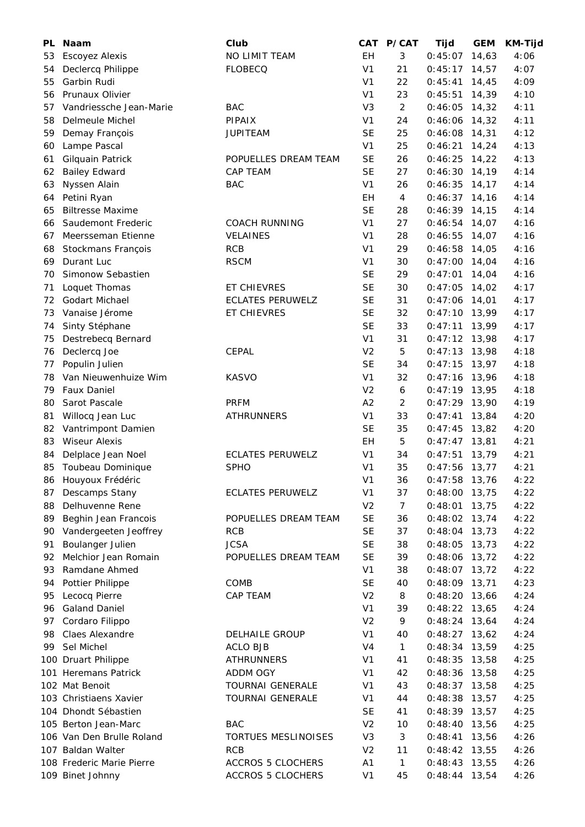| PL | <b>Naam</b>               | Club                       | CAT            | <b>P/CAT</b>   | Tijd            | <b>GEM</b> | <b>KM-Tijd</b> |
|----|---------------------------|----------------------------|----------------|----------------|-----------------|------------|----------------|
| 53 | <b>Escoyez Alexis</b>     | NO LIMIT TEAM              | EH             | 3              | 0:45:07         | 14,63      | 4:06           |
| 54 | Declercq Philippe         | <b>FLOBECQ</b>             | V <sub>1</sub> | 21             | 0:45:17         | 14,57      | 4:07           |
| 55 | Garbin Rudi               |                            | V <sub>1</sub> | 22             | 0:45:41         | 14,45      | 4:09           |
| 56 | Prunaux Olivier           |                            | V <sub>1</sub> | 23             | 0:45:51         | 14,39      | 4:10           |
| 57 | Vandriessche Jean-Marie   | <b>BAC</b>                 | V <sub>3</sub> | $\overline{2}$ | 0:46:05         | 14,32      | 4:11           |
| 58 | Delmeule Michel           | <b>PIPAIX</b>              | V <sub>1</sub> | 24             | 0:46:06         | 14,32      | 4:11           |
| 59 | Demay François            | <b>JUPITEAM</b>            | <b>SE</b>      | 25             | 0:46:08         | 14,31      | 4:12           |
| 60 | Lampe Pascal              |                            | V <sub>1</sub> | 25             | 0:46:21         | 14,24      | 4:13           |
| 61 | Gilquain Patrick          | POPUELLES DREAM TEAM       | <b>SE</b>      | 26             | 0:46:25         | 14,22      | 4:13           |
| 62 | <b>Bailey Edward</b>      | <b>CAP TEAM</b>            | <b>SE</b>      | 27             | 0:46:30         | 14,19      | 4:14           |
| 63 | Nyssen Alain              | <b>BAC</b>                 | V <sub>1</sub> | 26             | 0:46:35         | 14,17      | 4:14           |
| 64 | Petini Ryan               |                            | EH             | $\overline{4}$ | 0:46:37         | 14,16      | 4:14           |
| 65 | <b>Biltresse Maxime</b>   |                            | <b>SE</b>      | 28             | $0:46:39$ 14,15 |            | 4:14           |
| 66 | Saudemont Frederic        | <b>COACH RUNNING</b>       | V <sub>1</sub> | 27             | $0:46:54$ 14,07 |            | 4:16           |
| 67 | Meersseman Etienne        | VELAINES                   | V <sub>1</sub> | 28             | 0:46:55         | 14,07      | 4:16           |
| 68 | Stockmans François        | RCB                        | V <sub>1</sub> | 29             | $0:46:58$ 14,05 |            | 4:16           |
| 69 | Durant Luc                | <b>RSCM</b>                | V <sub>1</sub> | 30             | 0:47:00         | 14,04      | 4:16           |
| 70 | Simonow Sebastien         |                            | <b>SE</b>      | 29             | 0:47:01         | 14,04      | 4:16           |
| 71 | Loquet Thomas             | <b>ET CHIEVRES</b>         | <b>SE</b>      | 30             | 0:47:05         | 14,02      | 4:17           |
| 72 | Godart Michael            | <b>ECLATES PERUWELZ</b>    | <b>SE</b>      | 31             | 0:47:06         | 14,01      | 4:17           |
| 73 | Vanaise Jérome            | ET CHIEVRES                | <b>SE</b>      | 32             | $0:47:10$ 13,99 |            | 4:17           |
| 74 | Sinty Stéphane            |                            | <b>SE</b>      | 33             | 0:47:11         | 13,99      | 4:17           |
| 75 | Destrebecq Bernard        |                            | V <sub>1</sub> | 31             | $0:47:12$ 13,98 |            | 4:17           |
| 76 | Declercq Joe              | CEPAL                      | V <sub>2</sub> | 5              | $0:47:13$ 13,98 |            | 4:18           |
| 77 | Populin Julien            |                            | <b>SE</b>      | 34             | $0:47:15$ 13,97 |            | 4:18           |
| 78 | Van Nieuwenhuize Wim      | <b>KASVO</b>               | V <sub>1</sub> | 32             | $0:47:16$ 13,96 |            | 4:18           |
| 79 | <b>Faux Daniel</b>        |                            | V <sub>2</sub> | 6              | $0:47:19$ 13,95 |            | 4:18           |
| 80 | Sarot Pascale             | <b>PRFM</b>                | A2             | 2              | $0:47:29$ 13,90 |            | 4:19           |
|    |                           | <b>ATHRUNNERS</b>          | V <sub>1</sub> | 33             |                 |            | 4:20           |
| 81 | Willocq Jean Luc          |                            |                |                | 0:47:41         | 13,84      |                |
| 82 | Vantrimpont Damien        |                            | <b>SE</b>      | 35             | 0:47:45         | 13,82      | 4:20           |
| 83 | <b>Wiseur Alexis</b>      |                            | EH             | 5              | 0:47:47         | 13,81      | 4:21           |
| 84 | Delplace Jean Noel        | <b>ECLATES PERUWELZ</b>    | V <sub>1</sub> | 34             | $0:47:51$ 13,79 |            | 4:21           |
| 85 | Toubeau Dominique         | <b>SPHO</b>                | V <sub>1</sub> | 35             | $0:47:56$ 13,77 |            | 4:21           |
| 86 | Houyoux Frédéric          |                            | V <sub>1</sub> | 36             | $0:47:58$ 13,76 |            | 4:22           |
| 87 | Descamps Stany            | <b>ECLATES PERUWELZ</b>    | V <sub>1</sub> | 37             | 0:48:00         | 13,75      | 4:22           |
| 88 | Delhuvenne Rene           |                            | V <sub>2</sub> | $\overline{7}$ | 0:48:01         | 13,75      | 4:22           |
| 89 | Beghin Jean Francois      | POPUELLES DREAM TEAM       | <b>SE</b>      | 36             | 0:48:02         | 13,74      | 4:22           |
| 90 | Vandergeeten Jeoffrey     | <b>RCB</b>                 | <b>SE</b>      | 37             | $0:48:04$ 13,73 |            | 4:22           |
| 91 | Boulanger Julien          | <b>JCSA</b>                | <b>SE</b>      | 38             | 0:48:05         | 13,73      | 4:22           |
| 92 | Melchior Jean Romain      | POPUELLES DREAM TEAM       | <b>SE</b>      | 39             | 0:48:06         | 13,72      | 4:22           |
| 93 | Ramdane Ahmed             |                            | V <sub>1</sub> | 38             | 0:48:07         | 13,72      | 4:22           |
| 94 | Pottier Philippe          | COMB                       | <b>SE</b>      | 40             | $0:48:09$ 13,71 |            | 4:23           |
| 95 | Lecocq Pierre             | CAP TEAM                   | V <sub>2</sub> | 8              | 0:48:20         | 13,66      | 4:24           |
| 96 | <b>Galand Daniel</b>      |                            | V <sub>1</sub> | 39             | 0:48:22         | 13,65      | 4:24           |
| 97 | Cordaro Filippo           |                            | V <sub>2</sub> | 9              | $0:48:24$ 13,64 |            | 4:24           |
| 98 | Claes Alexandre           | <b>DELHAILE GROUP</b>      | V <sub>1</sub> | 40             | 0:48:27         | 13,62      | 4:24           |
| 99 | Sel Michel                | <b>ACLO BJB</b>            | V4             | $\mathbf{1}$   | 0:48:34         | 13,59      | 4:25           |
|    | 100 Druart Philippe       | <b>ATHRUNNERS</b>          | V <sub>1</sub> | 41             | 0:48:35         | 13,58      | 4:25           |
|    | 101 Heremans Patrick      | <b>ADDM OGY</b>            | V <sub>1</sub> | 42             | $0:48:36$ 13,58 |            | 4:25           |
|    | 102 Mat Benoit            | <b>TOURNAI GENERALE</b>    | V <sub>1</sub> | 43             | 0:48:37         | 13,58      | 4:25           |
|    | 103 Christiaens Xavier    | <b>TOURNAI GENERALE</b>    | V <sub>1</sub> | 44             | 0:48:38         | 13,57      | 4:25           |
|    | 104 Dhondt Sébastien      |                            | <b>SE</b>      | 41             | $0:48:39$ 13,57 |            | 4:25           |
|    | 105 Berton Jean-Marc      | <b>BAC</b>                 | V <sub>2</sub> | 10             | 0:48:40         | 13,56      | 4:25           |
|    | 106 Van Den Brulle Roland | <b>TORTUES MESLINOISES</b> | V <sub>3</sub> | 3              | 0:48:41         | 13,56      | 4:26           |
|    | 107 Baldan Walter         | <b>RCB</b>                 | V <sub>2</sub> | 11             | 0:48:42         | 13,55      | 4:26           |
|    | 108 Frederic Marie Pierre | <b>ACCROS 5 CLOCHERS</b>   | A <sub>1</sub> | $\mathbf{1}$   | 0:48:43         | 13,55      | 4:26           |
|    | 109 Binet Johnny          | <b>ACCROS 5 CLOCHERS</b>   | V <sub>1</sub> | 45             | $0:48:44$ 13,54 |            | 4:26           |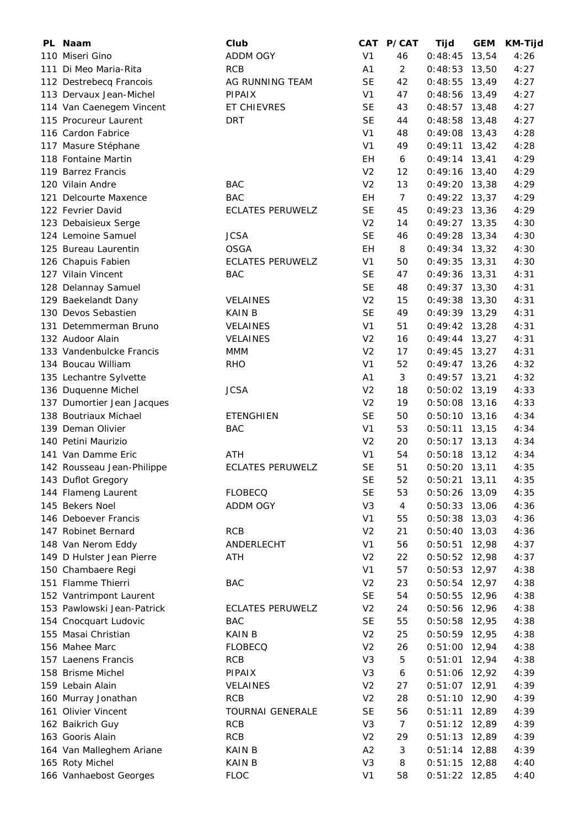| PL Naam                    | Club                    | CAT            | <b>P/CAT</b>   | Tijd            | <b>GEM</b> | <b>KM-Tijd</b> |
|----------------------------|-------------------------|----------------|----------------|-----------------|------------|----------------|
| 110 Miseri Gino            | <b>ADDM OGY</b>         | V <sub>1</sub> | 46             | 0:48:45         | 13,54      | 4:26           |
| 111 Di Meo Maria-Rita      | <b>RCB</b>              | A1             | 2              | $0:48:53$ 13,50 |            | 4:27           |
| 112 Destrebecq Francois    | AG RUNNING TEAM         | <b>SE</b>      | 42             | $0:48:55$ 13,49 |            | 4:27           |
| 113 Dervaux Jean-Michel    | <b>PIPAIX</b>           | V <sub>1</sub> | 47             | $0:48:56$ 13,49 |            | 4:27           |
| 114 Van Caenegem Vincent   | ET CHIEVRES             | <b>SE</b>      | 43             | $0:48:57$ 13,48 |            | 4:27           |
| 115 Procureur Laurent      | <b>DRT</b>              | <b>SE</b>      | 44             | $0:48:58$ 13,48 |            | 4:27           |
| 116 Cardon Fabrice         |                         | V <sub>1</sub> | 48             | $0:49:08$ 13,43 |            | 4:28           |
| 117 Masure Stéphane        |                         | V <sub>1</sub> | 49             | 0:49:11         | 13,42      | 4:28           |
| 118 Fontaine Martin        |                         | EH             | 6              | $0:49:14$ 13,41 |            | 4:29           |
| 119 Barrez Francis         |                         | V <sub>2</sub> | 12             | $0:49:16$ 13,40 |            | 4:29           |
| 120 Vilain Andre           | <b>BAC</b>              | V <sub>2</sub> | 13             | $0:49:20$ 13,38 |            | 4:29           |
| 121 Delcourte Maxence      | <b>BAC</b>              | EH             | $\overline{7}$ | $0:49:22$ 13,37 |            | 4:29           |
| 122 Fevrier David          | <b>ECLATES PERUWELZ</b> | <b>SE</b>      | 45             | $0:49:23$ 13,36 |            | 4:29           |
| 123 Debaisieux Serge       |                         | V <sub>2</sub> | 14             | $0:49:27$ 13,35 |            | 4:30           |
| 124 Lemoine Samuel         | <b>JCSA</b>             | <b>SE</b>      | 46             | $0:49:28$ 13,34 |            | 4:30           |
| 125 Bureau Laurentin       | <b>OSGA</b>             | EH             | 8              | $0:49:34$ 13,32 |            | 4:30           |
| 126 Chapuis Fabien         | <b>ECLATES PERUWELZ</b> | V <sub>1</sub> | 50             | $0:49:35$ 13,31 |            | 4:30           |
| 127 Vilain Vincent         | <b>BAC</b>              | <b>SE</b>      | 47             | $0:49:36$ 13,31 |            | 4:31           |
| 128 Delannay Samuel        |                         | <b>SE</b>      | 48             | $0:49:37$ 13,30 |            | 4:31           |
| 129 Baekelandt Dany        | <b>VELAINES</b>         | V <sub>2</sub> | 15             | 0:49:38         | 13,30      | 4:31           |
| 130 Devos Sebastien        | <b>KAIN B</b>           | <b>SE</b>      | 49             | $0:49:39$ 13,29 |            | 4:31           |
| 131 Detemmerman Bruno      | <b>VELAINES</b>         | V <sub>1</sub> | 51             | $0:49:42$ 13,28 |            | 4:31           |
| 132 Audoor Alain           | VELAINES                | V <sub>2</sub> | 16             | $0:49:44$ 13,27 |            | 4:31           |
| 133 Vandenbulcke Francis   | <b>MMM</b>              | V <sub>2</sub> | 17             | $0:49:45$ 13,27 |            | 4:31           |
| 134 Boucau William         | <b>RHO</b>              | V <sub>1</sub> | 52             | $0:49:47$ 13,26 |            | 4:32           |
| 135 Lechantre Sylvette     |                         | A1             | 3              | $0:49:57$ 13,21 |            | 4:32           |
| 136 Duquenne Michel        | <b>JCSA</b>             | V <sub>2</sub> | 18             | $0:50:02$ 13,19 |            | 4:33           |
| 137 Dumortier Jean Jacques |                         | V <sub>2</sub> | 19             | $0:50:08$ 13,16 |            | 4:33           |
| 138 Boutriaux Michael      | <b>ETENGHIEN</b>        | <b>SE</b>      | 50             | $0:50:10$ 13,16 |            | 4:34           |
| 139 Deman Olivier          | <b>BAC</b>              | V <sub>1</sub> | 53             | 0:50:11         | 13,15      | 4:34           |
| 140 Petini Maurizio        |                         | V <sub>2</sub> | 20             | $0:50:17$ 13,13 |            | 4:34           |
| 141 Van Damme Eric         | ATH                     | V <sub>1</sub> | 54             | $0:50:18$ 13,12 |            | 4:34           |
| 142 Rousseau Jean-Philippe | <b>ECLATES PERUWELZ</b> | <b>SE</b>      | 51             | $0:50:20$ 13,11 |            | 4:35           |
| 143 Duflot Gregory         |                         | <b>SE</b>      | 52             | $0:50:21$ 13,11 |            | 4:35           |
| 144 Flameng Laurent        | <b>FLOBECQ</b>          | <b>SE</b>      | 53             | 0:50:26         | 13,09      | 4:35           |
| 145 Bekers Noel            | ADDM OGY                | V <sub>3</sub> | 4              | 0:50:33         | 13,06      | 4:36           |
| 146 Deboever Francis       |                         | V <sub>1</sub> | 55             | 0:50:38         | 13,03      | 4:36           |
| 147 Robinet Bernard        | <b>RCB</b>              | V <sub>2</sub> | 21             | 0:50:40         | 13,03      | 4:36           |
| 148 Van Nerom Eddy         | ANDERLECHT              | V <sub>1</sub> | 56             | 0:50:51         | 12,98      | 4:37           |
| 149 D Hulster Jean Pierre  | ATH                     | V <sub>2</sub> | 22             | 0:50:52         | 12,98      | 4:37           |
| 150 Chambaere Regi         |                         | V <sub>1</sub> | 57             | $0:50:53$ 12,97 |            | 4:38           |
| 151 Flamme Thierri         | BAC                     | V <sub>2</sub> | 23             | $0:50:54$ 12,97 |            | 4:38           |
| 152 Vantrimpont Laurent    |                         | <b>SE</b>      | 54             | 0:50:55         | 12,96      | 4:38           |
| 153 Pawlowski Jean-Patrick | <b>ECLATES PERUWELZ</b> | V <sub>2</sub> | 24             | 0:50:56         | 12,96      | 4:38           |
| 154 Cnocquart Ludovic      | BAC                     | <b>SE</b>      | 55             | 0:50:58         | 12,95      | 4:38           |
| 155 Masai Christian        | KAIN B                  | V <sub>2</sub> | 25             | 0:50:59         | 12,95      | 4:38           |
| 156 Mahee Marc             | <b>FLOBECQ</b>          | V <sub>2</sub> | 26             | 0:51:00         | 12,94      | 4:38           |
| 157 Laenens Francis        | <b>RCB</b>              | V <sub>3</sub> | 5              | 0:51:01         | 12,94      | 4:38           |
| 158 Brisme Michel          | <b>PIPAIX</b>           | V3             | 6              | 0:51:06         | 12,92      | 4:39           |
| 159 Lebain Alain           | <b>VELAINES</b>         | V <sub>2</sub> | 27             | $0:51:07$ 12,91 |            | 4:39           |
| 160 Murray Jonathan        | <b>RCB</b>              | V <sub>2</sub> | 28             | 0:51:10         | 12,90      | 4:39           |
| 161 Olivier Vincent        | <b>TOURNAI GENERALE</b> | <b>SE</b>      | 56             | 0:51:11         | 12,89      | 4:39           |
| 162 Baikrich Guy           | RCB                     | V <sub>3</sub> | 7              | $0:51:12$ 12,89 |            | 4:39           |
| 163 Gooris Alain           | <b>RCB</b>              | V <sub>2</sub> | 29             | $0:51:13$ 12,89 |            | 4:39           |
| 164 Van Malleghem Ariane   | KAIN B                  | A2             | 3              | $0:51:14$ 12,88 |            | 4:39           |
| 165 Roty Michel            | KAIN B                  | V <sub>3</sub> | 8              | $0:51:15$ 12,88 |            | 4:40           |
| 166 Vanhaebost Georges     | <b>FLOC</b>             | V <sub>1</sub> | 58             | $0:51:22$ 12,85 |            | 4:40           |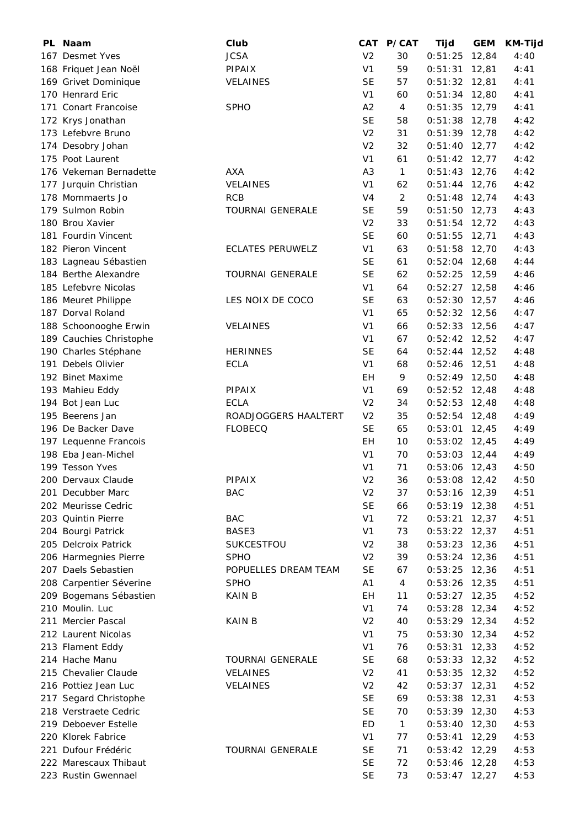| PL Naam                             | Club                    |                | CAT P/CAT      | <b>Tijd</b>     | <b>GEM</b> | <b>KM-Tijd</b> |
|-------------------------------------|-------------------------|----------------|----------------|-----------------|------------|----------------|
| 167 Desmet Yves                     | <b>JCSA</b>             | V <sub>2</sub> | 30             | 0:51:25         | 12,84      | 4:40           |
| 168 Friquet Jean Noël               | <b>PIPAIX</b>           | V <sub>1</sub> | 59             | $0:51:31$ 12,81 |            | 4:41           |
| 169 Grivet Dominique                | <b>VELAINES</b>         | <b>SE</b>      | 57             | $0:51:32$ 12,81 |            | 4:41           |
| 170 Henrard Eric                    |                         | V <sub>1</sub> | 60             | $0:51:34$ 12,80 |            | 4:41           |
| 171 Conart Francoise                | <b>SPHO</b>             | A2             | 4              | $0:51:35$ 12,79 |            | 4:41           |
| 172 Krys Jonathan                   |                         | <b>SE</b>      | 58             | $0:51:38$ 12,78 |            | 4:42           |
| 173 Lefebvre Bruno                  |                         | V <sub>2</sub> | 31             | $0:51:39$ 12,78 |            | 4:42           |
| 174 Desobry Johan                   |                         | V <sub>2</sub> | 32             | $0:51:40$ 12,77 |            | 4:42           |
| 175 Poot Laurent                    |                         | V <sub>1</sub> | 61             | $0:51:42$ 12,77 |            | 4:42           |
| 176 Vekeman Bernadette              | AXA                     | A3             | $\mathbf{1}$   | $0:51:43$ 12,76 |            | 4:42           |
| 177 Jurquin Christian               | <b>VELAINES</b>         | V <sub>1</sub> | 62             | $0:51:44$ 12,76 |            | 4:42           |
| 178 Mommaerts Jo                    | <b>RCB</b>              | V4             | $\overline{2}$ | $0:51:48$ 12,74 |            | 4:43           |
| 179 Sulmon Robin                    | <b>TOURNAI GENERALE</b> | <b>SE</b>      | 59             | $0:51:50$ 12,73 |            | 4:43           |
| 180 Brou Xavier                     |                         | V <sub>2</sub> | 33             | $0:51:54$ 12,72 |            | 4:43           |
| 181 Fourdin Vincent                 |                         | <b>SE</b>      | 60             | $0:51:55$ 12,71 |            | 4:43           |
| 182 Pieron Vincent                  | <b>ECLATES PERUWELZ</b> | V <sub>1</sub> | 63             | $0:51:58$ 12,70 |            | 4:43           |
| 183 Lagneau Sébastien               |                         | <b>SE</b>      | 61             | $0:52:04$ 12,68 |            | 4:44           |
| 184 Berthe Alexandre                | <b>TOURNAI GENERALE</b> | <b>SE</b>      | 62             | $0:52:25$ 12,59 |            | 4:46           |
| 185 Lefebvre Nicolas                |                         | V <sub>1</sub> | 64             | $0:52:27$ 12,58 |            | 4:46           |
| 186 Meuret Philippe                 | LES NOIX DE COCO        | <b>SE</b>      | 63             | $0:52:30$ 12,57 |            | 4:46           |
| 187 Dorval Roland                   |                         | V <sub>1</sub> | 65             | $0:52:32$ 12,56 |            | 4:47           |
| 188 Schoonooghe Erwin               | <b>VELAINES</b>         | V <sub>1</sub> | 66             | $0:52:33$ 12,56 |            | 4:47           |
| 189 Cauchies Christophe             |                         | V <sub>1</sub> | 67             | $0:52:42$ 12,52 |            | 4:47           |
| 190 Charles Stéphane                | <b>HERINNES</b>         | <b>SE</b>      | 64             | $0:52:44$ 12,52 |            | 4:48           |
| 191 Debels Olivier                  | <b>ECLA</b>             | V <sub>1</sub> | 68             | $0:52:46$ 12,51 |            | 4:48           |
| 192 Binet Maxime                    |                         | EH             | 9              | $0:52:49$ 12,50 |            | 4:48           |
|                                     | <b>PIPAIX</b>           | V <sub>1</sub> | 69             |                 |            |                |
| 193 Mahieu Eddy<br>194 Bot Jean Luc | <b>ECLA</b>             |                | 34             | $0:52:52$ 12,48 |            | 4:48           |
|                                     |                         | V <sub>2</sub> |                | $0:52:53$ 12,48 |            | 4:48           |
| 195 Beerens Jan                     | ROADJOGGERS HAALTERT    | V <sub>2</sub> | 35             | $0:52:54$ 12,48 |            | 4:49           |
| 196 De Backer Dave                  | <b>FLOBECQ</b>          | <b>SE</b>      | 65             | $0:53:01$ 12,45 |            | 4:49           |
| 197 Lequenne Francois               |                         | EH             | 10             | $0:53:02$ 12,45 |            | 4:49           |
| 198 Eba Jean-Michel                 |                         | V <sub>1</sub> | 70             | $0:53:03$ 12,44 |            | 4:49           |
| 199 Tesson Yves                     |                         | V <sub>1</sub> | 71             | $0:53:06$ 12,43 |            | 4:50           |
| 200 Dervaux Claude                  | PIPAIX                  | V <sub>2</sub> | 36             | $0:53:08$ 12,42 |            | 4:50           |
| 201 Decubber Marc                   | BAC                     | V <sub>2</sub> | 37             | $0:53:16$ 12,39 |            | 4:51           |
| 202 Meurisse Cedric                 |                         | <b>SE</b>      | 66             | $0:53:19$ 12,38 |            | 4:51           |
| 203 Quintin Pierre                  | <b>BAC</b>              | V <sub>1</sub> | 72             | 0:53:21         | 12,37      | 4:51           |
| 204 Bourgi Patrick                  | BASE3                   | V <sub>1</sub> | 73             | $0:53:22$ 12,37 |            | 4:51           |
| 205 Delcroix Patrick                | <b>SUKCESTFOU</b>       | V <sub>2</sub> | 38             | $0:53:23$ 12,36 |            | 4:51           |
| 206 Harmegnies Pierre               | <b>SPHO</b>             | V <sub>2</sub> | 39             | $0:53:24$ 12,36 |            | 4:51           |
| 207 Daels Sebastien                 | POPUELLES DREAM TEAM    | <b>SE</b>      | 67             | $0:53:25$ 12,36 |            | 4:51           |
| 208 Carpentier Séverine             | <b>SPHO</b>             | A1             | $\overline{4}$ | $0:53:26$ 12,35 |            | 4:51           |
| 209 Bogemans Sébastien              | KAIN B                  | EН             | 11             | $0:53:27$ 12,35 |            | 4:52           |
| 210 Moulin. Luc                     |                         | V <sub>1</sub> | 74             | $0:53:28$ 12,34 |            | 4:52           |
| 211 Mercier Pascal                  | KAIN B                  | V <sub>2</sub> | 40             | $0:53:29$ 12,34 |            | 4:52           |
| 212 Laurent Nicolas                 |                         | V <sub>1</sub> | 75             | $0:53:30$ 12,34 |            | 4:52           |
| 213 Flament Eddy                    |                         | V <sub>1</sub> | 76             | 0:53:31         | 12,33      | 4:52           |
| 214 Hache Manu                      | <b>TOURNAI GENERALE</b> | <b>SE</b>      | 68             | 0:53:33         | 12,32      | 4:52           |
| 215 Chevalier Claude                | <b>VELAINES</b>         | V <sub>2</sub> | 41             | $0:53:35$ 12,32 |            | 4:52           |
| 216 Pottiez Jean Luc                | VELAINES                | V <sub>2</sub> | 42             | 0:53:37         | 12,31      | 4:52           |
| 217 Segard Christophe               |                         | <b>SE</b>      | 69             | 0:53:38         | 12,31      | 4:53           |
| 218 Verstraete Cedric               |                         | <b>SE</b>      | 70             | $0:53:39$ 12,30 |            | 4:53           |
| 219 Deboever Estelle                |                         | ED             | $\mathbf{1}$   | $0:53:40$ 12,30 |            | 4:53           |
| 220 Klorek Fabrice                  |                         | V <sub>1</sub> | 77             | $0:53:41$ 12,29 |            | 4:53           |
| 221 Dufour Frédéric                 | <b>TOURNAI GENERALE</b> | SE             | 71             | $0:53:42$ 12,29 |            | 4:53           |
| 222 Marescaux Thibaut               |                         | <b>SE</b>      | 72             | $0:53:46$ 12,28 |            | 4:53           |
| 223 Rustin Gwennael                 |                         | <b>SE</b>      | 73             | $0:53:47$ 12,27 |            | 4:53           |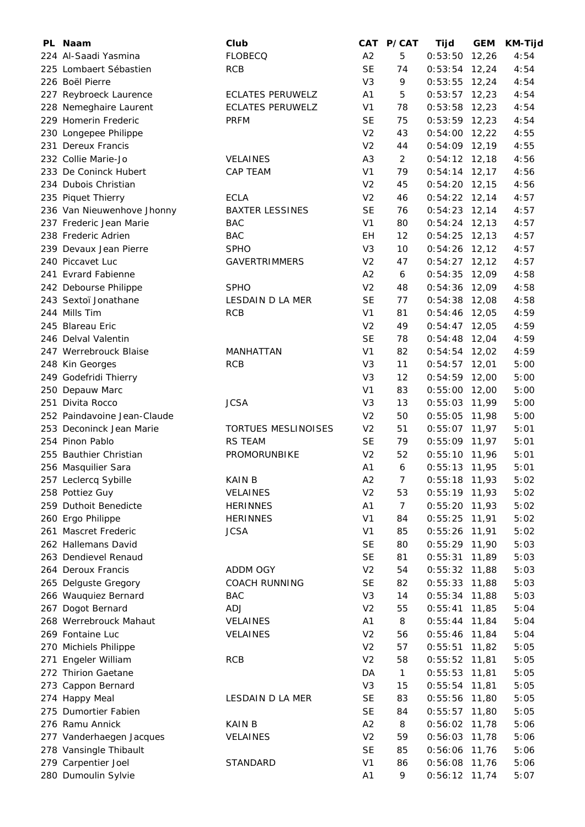|     | PL Naam                     | Club                    |                | CAT P/CAT      | Tijd            | <b>GEM</b> | <b>KM-Tijd</b> |
|-----|-----------------------------|-------------------------|----------------|----------------|-----------------|------------|----------------|
|     | 224 Al-Saadi Yasmina        | <b>FLOBECQ</b>          | A2             | 5              | 0:53:50         | 12,26      | 4:54           |
|     | 225 Lombaert Sébastien      | <b>RCB</b>              | <b>SE</b>      | 74             | $0:53:54$ 12,24 |            | 4:54           |
|     | 226 Boël Pierre             |                         | V <sub>3</sub> | 9              | $0:53:55$ 12,24 |            | 4:54           |
|     | 227 Reybroeck Laurence      | <b>ECLATES PERUWELZ</b> | A1             | 5              | $0:53:57$ 12,23 |            | 4:54           |
|     | 228 Nemeghaire Laurent      | <b>ECLATES PERUWELZ</b> | V <sub>1</sub> | 78             | $0:53:58$ 12,23 |            | 4:54           |
|     | 229 Homerin Frederic        | <b>PRFM</b>             | <b>SE</b>      | 75             | $0:53:59$ 12,23 |            | 4:54           |
|     | 230 Longepee Philippe       |                         | V <sub>2</sub> | 43             | 0:54:00         | 12,22      | 4:55           |
|     | 231 Dereux Francis          |                         | V <sub>2</sub> | 44             | $0:54:09$ 12,19 |            | 4:55           |
|     | 232 Collie Marie-Jo         | VELAINES                | A <sub>3</sub> | $\overline{2}$ | $0:54:12$ 12,18 |            | 4:56           |
|     | 233 De Coninck Hubert       | CAP TEAM                | V <sub>1</sub> | 79             | $0:54:14$ 12,17 |            | 4:56           |
|     | 234 Dubois Christian        |                         | V <sub>2</sub> | 45             | $0:54:20$ 12,15 |            | 4:56           |
|     | 235 Piquet Thierry          | <b>ECLA</b>             | V <sub>2</sub> | 46             | $0:54:22$ 12,14 |            | 4:57           |
|     | 236 Van Nieuwenhove Jhonny  | <b>BAXTER LESSINES</b>  | <b>SE</b>      | 76             | $0:54:23$ 12,14 |            | 4:57           |
|     | 237 Frederic Jean Marie     | <b>BAC</b>              | V <sub>1</sub> | 80             | $0:54:24$ 12,13 |            | 4:57           |
|     | 238 Frederic Adrien         | <b>BAC</b>              | EH             | 12             | $0:54:25$ 12,13 |            | 4:57           |
|     | 239 Devaux Jean Pierre      | <b>SPHO</b>             | V <sub>3</sub> | 10             | $0:54:26$ 12,12 |            | 4:57           |
|     | 240 Piccavet Luc            | <b>GAVERTRIMMERS</b>    | V <sub>2</sub> | 47             | $0:54:27$ 12,12 |            | 4:57           |
|     | 241 Evrard Fabienne         |                         | A <sub>2</sub> | 6              | 0:54:35         | 12,09      | 4:58           |
|     | 242 Debourse Philippe       | <b>SPHO</b>             | V <sub>2</sub> | 48             | 0:54:36         | 12,09      | 4:58           |
|     | 243 Sextoï Jonathane        | LESDAIN D LA MER        | <b>SE</b>      | 77             | 0:54:38         | 12,08      | 4:58           |
|     | 244 Mills Tim               | <b>RCB</b>              | V <sub>1</sub> | 81             | $0:54:46$ 12,05 |            | 4:59           |
|     | 245 Blareau Eric            |                         | V <sub>2</sub> | 49             | $0:54:47$ 12,05 |            | 4:59           |
|     | 246 Delval Valentin         |                         | <b>SE</b>      | 78             | $0:54:48$ 12,04 |            | 4:59           |
|     | 247 Werrebrouck Blaise      | MANHATTAN               | V <sub>1</sub> | 82             | $0:54:54$ 12,02 |            | 4:59           |
|     | 248 Kin Georges             | <b>RCB</b>              | V3             | 11             | $0:54:57$ 12,01 |            | 5:00           |
|     | 249 Godefridi Thierry       |                         | V <sub>3</sub> | 12             | $0:54:59$ 12,00 |            | 5:00           |
|     | 250 Depauw Marc             |                         | V <sub>1</sub> | 83             | $0:55:00$ 12,00 |            | 5:00           |
|     | 251 Divita Rocco            | <b>JCSA</b>             | V <sub>3</sub> | 13             | $0:55:03$ 11,99 |            | 5:00           |
|     | 252 Paindavoine Jean-Claude |                         | V <sub>2</sub> | 50             | 0:55:05         |            | 5:00           |
|     |                             |                         |                |                |                 | 11,98      |                |
|     | 253 Deconinck Jean Marie    | TORTUES MESLINOISES     | V <sub>2</sub> | 51             | $0:55:07$ 11,97 |            | 5:01           |
|     | 254 Pinon Pablo             | <b>RS TEAM</b>          | <b>SE</b>      | 79             | $0:55:09$ 11,97 |            | 5:01           |
|     | 255 Bauthier Christian      | PROMORUNBIKE            | V <sub>2</sub> | 52             | $0:55:10$ 11,96 |            | 5:01           |
|     | 256 Masquilier Sara         |                         | A1             | 6              | $0:55:13$ 11,95 |            | 5:01           |
|     | 257 Leclercq Sybille        | <b>KAIN B</b>           | A2             | 7              | $0:55:18$ 11,93 |            | 5:02           |
|     | 258 Pottiez Guy             | <b>VELAINES</b>         | V <sub>2</sub> | 53             | $0:55:19$ 11,93 |            | 5:02           |
|     | 259 Duthoit Benedicte       | <b>HERINNES</b>         | A1             | $\overline{7}$ | 0:55:20         | 11,93      | 5:02           |
|     | 260 Ergo Philippe           | <b>HERINNES</b>         | V <sub>1</sub> | 84             | 0:55:25         | 11,91      | 5:02           |
|     | 261 Mascret Frederic        | <b>JCSA</b>             | V <sub>1</sub> | 85             | 0:55:26         | 11,91      | 5:02           |
|     | 262 Hallemans David         |                         | <b>SE</b>      | 80             | 0:55:29         | 11,90      | 5:03           |
|     | 263 Dendievel Renaud        |                         | <b>SE</b>      | 81             | 0:55:31         | 11,89      | 5:03           |
|     | 264 Deroux Francis          | ADDM OGY                | V <sub>2</sub> | 54             | 0:55:32         | 11,88      | 5:03           |
|     | 265 Delguste Gregory        | <b>COACH RUNNING</b>    | <b>SE</b>      | 82             | 0:55:33         | 11,88      | 5:03           |
|     | 266 Wauquiez Bernard        | <b>BAC</b>              | V <sub>3</sub> | 14             | 0:55:34         | 11,88      | 5:03           |
|     | 267 Dogot Bernard           | <b>ADJ</b>              | V <sub>2</sub> | 55             | 0:55:41         | 11,85      | 5:04           |
|     | 268 Werrebrouck Mahaut      | <b>VELAINES</b>         | A1             | 8              | 0:55:44         | 11,84      | 5:04           |
|     | 269 Fontaine Luc            | <b>VELAINES</b>         | V <sub>2</sub> | 56             | 0:55:46         | 11,84      | 5:04           |
|     | 270 Michiels Philippe       |                         | V <sub>2</sub> | 57             | 0:55:51         | 11,82      | 5:05           |
| 271 | Engeler William             | <b>RCB</b>              | V <sub>2</sub> | 58             | 0:55:52         | 11,81      | 5:05           |
|     | 272 Thirion Gaetane         |                         | DA             | $\mathbf{1}$   | 0:55:53         | 11,81      | 5:05           |
|     | 273 Cappon Bernard          |                         | V <sub>3</sub> | 15             | 0:55:54         | 11,81      | 5:05           |
|     | 274 Happy Meal              | LESDAIN D LA MER        | <b>SE</b>      | 83             | 0:55:56         | 11,80      | 5:05           |
|     | 275 Dumortier Fabien        |                         | <b>SE</b>      | 84             | 0:55:57         | 11,80      | 5:05           |
|     | 276 Ramu Annick             | KAIN B                  | A2             | 8              | 0:56:02         | 11,78      | 5:06           |
|     | 277 Vanderhaegen Jacques    | <b>VELAINES</b>         | V <sub>2</sub> | 59             | 0:56:03         | 11,78      | 5:06           |
|     | 278 Vansingle Thibault      |                         | <b>SE</b>      | 85             | 0:56:06         | 11,76      | 5:06           |
|     | 279 Carpentier Joel         | STANDARD                | V <sub>1</sub> | 86             | 0:56:08         | 11,76      | 5:06           |
|     | 280 Dumoulin Sylvie         |                         | A1             | 9              | $0:56:12$ 11,74 |            | 5:07           |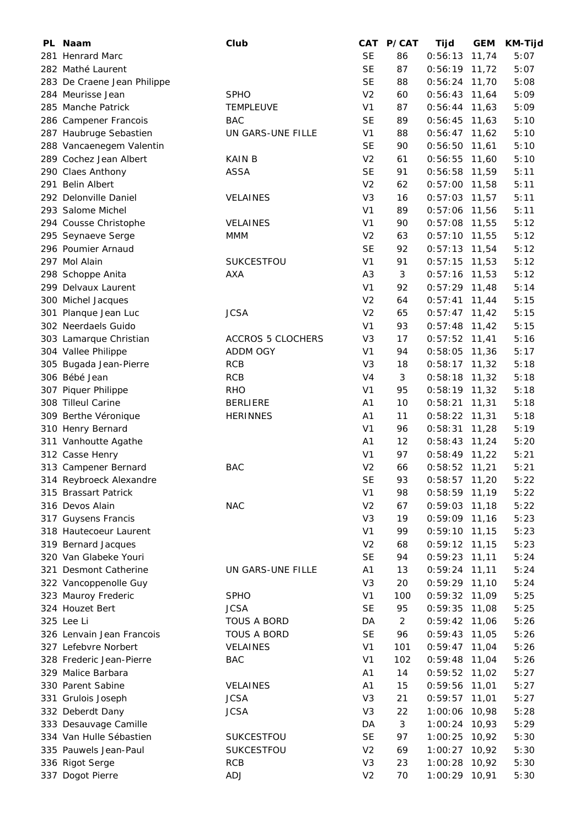| PL Naam                     | Club                     | CAT            | <b>P/CAT</b>   | Tijd            | <b>GEM</b> | KM-Tijd |
|-----------------------------|--------------------------|----------------|----------------|-----------------|------------|---------|
| 281 Henrard Marc            |                          | <b>SE</b>      | 86             | 0:56:13         | 11,74      | 5:07    |
| 282 Mathé Laurent           |                          | <b>SE</b>      | 87             | $0:56:19$ 11,72 |            | 5:07    |
| 283 De Craene Jean Philippe |                          | <b>SE</b>      | 88             | $0:56:24$ 11,70 |            | 5:08    |
| 284 Meurisse Jean           | <b>SPHO</b>              | V <sub>2</sub> | 60             | $0:56:43$ 11,64 |            | 5:09    |
| 285 Manche Patrick          | <b>TEMPLEUVE</b>         | V <sub>1</sub> | 87             | $0:56:44$ 11,63 |            | 5:09    |
| 286 Campener Francois       | <b>BAC</b>               | <b>SE</b>      | 89             | 0:56:45         | 11,63      | 5:10    |
| 287 Haubruge Sebastien      | UN GARS-UNE FILLE        | V <sub>1</sub> | 88             | $0:56:47$ 11,62 |            | 5:10    |
| 288 Vancaenegem Valentin    |                          | <b>SE</b>      | 90             | 0:56:50         | 11,61      | 5:10    |
| 289 Cochez Jean Albert      | KAIN B                   | V <sub>2</sub> | 61             | $0:56:55$ 11,60 |            | 5:10    |
| 290 Claes Anthony           | <b>ASSA</b>              | <b>SE</b>      | 91             | $0:56:58$ 11,59 |            | 5:11    |
| 291 Belin Albert            |                          | V <sub>2</sub> | 62             | $0:57:00$ 11,58 |            | 5:11    |
| 292 Delonville Daniel       | <b>VELAINES</b>          | V <sub>3</sub> | 16             | $0:57:03$ 11,57 |            | 5:11    |
| 293 Salome Michel           |                          | V <sub>1</sub> | 89             | $0:57:06$ 11,56 |            | 5:11    |
| 294 Cousse Christophe       | <b>VELAINES</b>          | V <sub>1</sub> | 90             | $0:57:08$ 11,55 |            | 5:12    |
| 295 Seynaeve Serge          | <b>MMM</b>               | V <sub>2</sub> | 63             | $0:57:10$ 11,55 |            | 5:12    |
| 296 Poumier Arnaud          |                          | <b>SE</b>      | 92             | $0:57:13$ 11,54 |            | 5:12    |
| 297 Mol Alain               | SUKCESTFOU               | V <sub>1</sub> | 91             | $0:57:15$ 11,53 |            | 5:12    |
| 298 Schoppe Anita           | AXA                      | A <sub>3</sub> | 3              | $0:57:16$ 11,53 |            | 5:12    |
| 299 Delvaux Laurent         |                          | V <sub>1</sub> | 92             | $0:57:29$ 11,48 |            | 5:14    |
| 300 Michel Jacques          |                          | V <sub>2</sub> | 64             | 0:57:41         | 11,44      | 5:15    |
| 301 Planque Jean Luc        | <b>JCSA</b>              | V <sub>2</sub> | 65             | $0:57:47$ 11,42 |            | 5:15    |
| 302 Neerdaels Guido         |                          | V <sub>1</sub> | 93             | $0:57:48$ 11,42 |            | 5:15    |
| 303 Lamarque Christian      | <b>ACCROS 5 CLOCHERS</b> | V <sub>3</sub> | 17             | $0:57:52$ 11,41 |            | 5:16    |
| 304 Vallee Philippe         | ADDM OGY                 | V <sub>1</sub> | 94             | $0:58:05$ 11,36 |            | 5:17    |
| 305 Bugada Jean-Pierre      | <b>RCB</b>               | V3             | 18             | $0:58:17$ 11,32 |            | 5:18    |
| 306 Bébé Jean               | <b>RCB</b>               | V <sub>4</sub> | 3              | $0:58:18$ 11,32 |            | 5:18    |
| 307 Piquer Philippe         | <b>RHO</b>               | V <sub>1</sub> | 95             | $0:58:19$ 11,32 |            | 5:18    |
| 308 Tilleul Carine          | <b>BERLIERE</b>          | A <sub>1</sub> | 10             | 0:58:21         | 11,31      | 5:18    |
| 309 Berthe Véronique        | <b>HERINNES</b>          | A <sub>1</sub> | 11             | 0:58:22         | 11,31      | 5:18    |
| 310 Henry Bernard           |                          | V <sub>1</sub> | 96             | 0:58:31         | 11,28      | 5:19    |
| 311 Vanhoutte Agathe        |                          | A <sub>1</sub> | 12             | $0:58:43$ 11,24 |            | 5:20    |
| 312 Casse Henry             |                          | V <sub>1</sub> | 97             | $0:58:49$ 11,22 |            | 5:21    |
| 313 Campener Bernard        | <b>BAC</b>               | V <sub>2</sub> | 66             | $0:58:52$ 11,21 |            | 5:21    |
| 314 Reybroeck Alexandre     |                          | <b>SE</b>      | 93             | $0:58:57$ 11,20 |            | 5:22    |
| 315 Brassart Patrick        |                          | V <sub>1</sub> | 98             | 0:58:59         | 11,19      | 5:22    |
| 316 Devos Alain             | <b>NAC</b>               | V <sub>2</sub> | 67             | 0:59:03         | 11,18      | 5:22    |
| 317 Guysens Francis         |                          | V <sub>3</sub> | 19             | $0:59:09$ 11,16 |            | 5:23    |
| 318 Hautecoeur Laurent      |                          | V <sub>1</sub> | 99             | 0:59:10         | 11,15      | 5:23    |
| 319 Bernard Jacques         |                          | V <sub>2</sub> | 68             | $0:59:12$ 11,15 |            | 5:23    |
| 320 Van Glabeke Youri       |                          | <b>SE</b>      | 94             | 0:59:23         | 11,11      | 5:24    |
| 321 Desmont Catherine       | UN GARS-UNE FILLE        | A1             | 13             | $0:59:24$ 11,11 |            | 5:24    |
| 322 Vancoppenolle Guy       |                          | V <sub>3</sub> | 20             | $0:59:29$ 11,10 |            | 5:24    |
| 323 Mauroy Frederic         | <b>SPHO</b>              | V <sub>1</sub> | 100            | $0:59:32$ 11,09 |            | 5:25    |
| 324 Houzet Bert             | <b>JCSA</b>              | <b>SE</b>      | 95             | 0:59:35         | 11,08      | 5:25    |
| 325 Lee Li                  | <b>TOUS A BORD</b>       | DA             | $\overline{2}$ | 0:59:42         | 11,06      | 5:26    |
| 326 Lenvain Jean Francois   | <b>TOUS A BORD</b>       | <b>SE</b>      | 96             | 0:59:43         | 11,05      | 5:26    |
| 327 Lefebvre Norbert        | <b>VELAINES</b>          | V <sub>1</sub> | 101            | 0:59:47         | 11,04      | 5:26    |
| 328 Frederic Jean-Pierre    | <b>BAC</b>               | V <sub>1</sub> | 102            | 0:59:48         | 11,04      | 5:26    |
| 329 Malice Barbara          |                          | A1             | 14             | 0:59:52         | 11,02      | 5:27    |
| 330 Parent Sabine           | <b>VELAINES</b>          | A <sub>1</sub> | 15             | 0:59:56         | 11,01      | 5:27    |
| 331 Grulois Joseph          | <b>JCSA</b>              | V <sub>3</sub> | 21             | 0:59:57         | 11,01      | 5:27    |
| 332 Deberdt Dany            | <b>JCSA</b>              | V <sub>3</sub> | 22             | 1:00:06         | 10,98      | 5:28    |
| 333 Desauvage Camille       |                          | DA             | 3              | 1:00:24         | 10,93      | 5:29    |
| 334 Van Hulle Sébastien     | SUKCESTFOU               | <b>SE</b>      | 97             | 1:00:25         | 10,92      | 5:30    |
| 335 Pauwels Jean-Paul       | SUKCESTFOU               | V <sub>2</sub> | 69             | 1:00:27         | 10,92      | 5:30    |
| 336 Rigot Serge             | RCB                      | V <sub>3</sub> | 23             | 1:00:28         | 10,92      | 5:30    |
| 337 Dogot Pierre            | <b>ADJ</b>               | V <sub>2</sub> | 70             | 1:00:29 10,91   |            | 5:30    |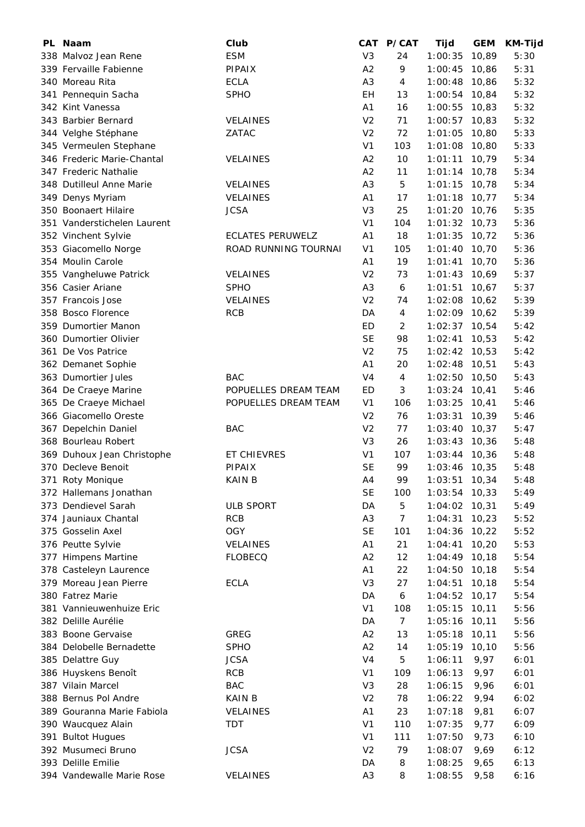| PL Naam                     | Club                    | CAT            | P/CAT          | Tijd            | <b>GEM</b> | <b>KM-Tijd</b> |
|-----------------------------|-------------------------|----------------|----------------|-----------------|------------|----------------|
| 338 Malvoz Jean Rene        | <b>ESM</b>              | V <sub>3</sub> | 24             | 1:00:35         | 10,89      | 5:30           |
| 339 Fervaille Fabienne      | <b>PIPAIX</b>           | A2             | 9              | 1:00:45         | 10,86      | 5:31           |
| 340 Moreau Rita             | <b>ECLA</b>             | A <sub>3</sub> | 4              | 1:00:48         | 10,86      | 5:32           |
| 341 Pennequin Sacha         | <b>SPHO</b>             | EН             | 13             | 1:00:54         | 10,84      | 5:32           |
| 342 Kint Vanessa            |                         | A <sub>1</sub> | 16             | 1:00:55         | 10,83      | 5:32           |
| 343 Barbier Bernard         | <b>VELAINES</b>         | V <sub>2</sub> | 71             | 1:00:57         | 10,83      | 5:32           |
| 344 Velghe Stéphane         | ZATAC                   | V <sub>2</sub> | 72             | 1:01:05         | 10,80      | 5:33           |
| 345 Vermeulen Stephane      |                         | V <sub>1</sub> | 103            | 1:01:08         | 10,80      | 5:33           |
| 346 Frederic Marie-Chantal  | <b>VELAINES</b>         | A2             | 10             | 1:01:11         | 10,79      | 5:34           |
| 347 Frederic Nathalie       |                         | A2             | 11             | $1:01:14$ 10,78 |            | 5:34           |
| 348 Dutilleul Anne Marie    | <b>VELAINES</b>         | A <sub>3</sub> | 5              | 1:01:15         | 10,78      | 5:34           |
| 349 Denys Myriam            | <b>VELAINES</b>         | A <sub>1</sub> | 17             | 1:01:18         | 10,77      | 5:34           |
| 350 Boonaert Hilaire        | <b>JCSA</b>             | V <sub>3</sub> | 25             | 1:01:20         | 10,76      | 5:35           |
| 351 Vanderstichelen Laurent |                         | V <sub>1</sub> | 104            | 1:01:32         | 10,73      | 5:36           |
| 352 Vinchent Sylvie         | <b>ECLATES PERUWELZ</b> | A <sub>1</sub> | 18             | 1:01:35         | 10,72      | 5:36           |
| 353 Giacomello Norge        | ROAD RUNNING TOURNAI    | V <sub>1</sub> | 105            | 1:01:40         | 10,70      | 5:36           |
| 354 Moulin Carole           |                         | A <sub>1</sub> | 19             | 1:01:41         | 10,70      | 5:36           |
| 355 Vangheluwe Patrick      | <b>VELAINES</b>         | V <sub>2</sub> | 73             | 1:01:43         | 10,69      | 5:37           |
| 356 Casier Ariane           | <b>SPHO</b>             | A <sub>3</sub> | 6              | 1:01:51         | 10,67      | 5:37           |
| 357 Francois Jose           | <b>VELAINES</b>         | V <sub>2</sub> | 74             | 1:02:08         | 10,62      | 5:39           |
| 358 Bosco Florence          | <b>RCB</b>              | DA             | $\overline{4}$ | 1:02:09 10,62   |            | 5:39           |
| 359 Dumortier Manon         |                         | ED             | 2              | 1:02:37         | 10,54      | 5:42           |
| 360 Dumortier Olivier       |                         | <b>SE</b>      | 98             | 1:02:41         | 10,53      | 5:42           |
| 361 De Vos Patrice          |                         | V <sub>2</sub> | 75             | 1:02:42         | 10,53      | 5:42           |
| 362 Demanet Sophie          |                         | A <sub>1</sub> | 20             | 1:02:48         | 10,51      | 5:43           |
| 363 Dumortier Jules         | <b>BAC</b>              | V <sub>4</sub> | 4              | $1:02:50$ 10,50 |            | 5:43           |
| 364 De Craeye Marine        | POPUELLES DREAM TEAM    | ED             | 3              | $1:03:24$ 10,41 |            | 5:46           |
| 365 De Craeye Michael       | POPUELLES DREAM TEAM    | V <sub>1</sub> | 106            | 1:03:25         | 10,41      | 5:46           |
| 366 Giacomello Oreste       |                         | V <sub>2</sub> | 76             | 1:03:31         | 10,39      | 5:46           |
| 367 Depelchin Daniel        | <b>BAC</b>              | V <sub>2</sub> | 77             | 1:03:40         | 10,37      | 5:47           |
| 368 Bourleau Robert         |                         | V <sub>3</sub> | 26             | 1:03:43         | 10,36      | 5:48           |
| 369 Duhoux Jean Christophe  | ET CHIEVRES             | V <sub>1</sub> | 107            | $1:03:44$ 10,36 |            | 5:48           |
| 370 Decleve Benoit          | <b>PIPAIX</b>           | <b>SE</b>      | 99             | $1:03:46$ 10,35 |            | 5:48           |
| 371 Roty Monique            | <b>KAIN B</b>           | A4             | 99             | 1:03:51         | 10,34      | 5:48           |
| 372 Hallemans Jonathan      |                         | <b>SE</b>      | 100            | 1:03:54         | 10,33      | 5:49           |
| 373 Dendievel Sarah         | <b>ULB SPORT</b>        | DA             | 5              | 1:04:02         | 10,31      | 5:49           |
| 374 Jauniaux Chantal        | <b>RCB</b>              | A <sub>3</sub> | $\overline{7}$ | 1:04:31         | 10,23      | 5:52           |
| 375 Gosselin Axel           | <b>OGY</b>              | <b>SE</b>      | 101            | 1:04:36         | 10,22      | 5:52           |
| 376 Peutte Sylvie           | VELAINES                | A <sub>1</sub> | 21             | 1:04:41         | 10,20      | 5:53           |
| 377 Himpens Martine         | <b>FLOBECQ</b>          | A2             | 12             | 1:04:49         | 10,18      | 5:54           |
| 378 Casteleyn Laurence      |                         | A <sub>1</sub> | 22             | 1:04:50         | 10,18      | 5:54           |
| 379 Moreau Jean Pierre      | <b>ECLA</b>             | V <sub>3</sub> | 27             | 1:04:51         | 10, 18     | 5:54           |
| 380 Fatrez Marie            |                         | DA             | 6              | 1:04:52         | 10, 17     | 5:54           |
| 381 Vannieuwenhuize Eric    |                         | V <sub>1</sub> | 108            | 1:05:15         |            | 5:56           |
| 382 Delille Aurélie         |                         | DA             | $\overline{7}$ |                 | 10, 11     | 5:56           |
|                             |                         |                |                | 1:05:16         | 10, 11     |                |
| 383 Boone Gervaise          | <b>GREG</b>             | A2             | 13             | 1:05:18         | 10, 11     | 5:56           |
| 384 Delobelle Bernadette    | <b>SPHO</b>             | A2             | 14             | 1:05:19         | 10, 10     | 5:56           |
| 385 Delattre Guy            | <b>JCSA</b>             | V <sub>4</sub> | 5              | 1:06:11         | 9,97       | 6:01           |
| 386 Huyskens Benoît         | <b>RCB</b>              | V <sub>1</sub> | 109            | 1:06:13         | 9,97       | 6:01           |
| 387 Vilain Marcel           | <b>BAC</b>              | V <sub>3</sub> | 28             | 1:06:15         | 9,96       | 6:01           |
| 388 Bernus Pol Andre        | <b>KAIN B</b>           | V <sub>2</sub> | 78             | 1:06:22         | 9,94       | 6:02           |
| 389 Gouranna Marie Fabiola  | <b>VELAINES</b>         | A <sub>1</sub> | 23             | 1:07:18         | 9,81       | 6:07           |
| 390 Waucquez Alain          | TDT                     | V <sub>1</sub> | 110            | 1:07:35         | 9,77       | 6:09           |
| 391 Bultot Hugues           |                         | V <sub>1</sub> | 111            | 1:07:50         | 9,73       | 6:10           |
| 392 Musumeci Bruno          | <b>JCSA</b>             | V <sub>2</sub> | 79             | 1:08:07         | 9,69       | 6:12           |
| 393 Delille Emilie          |                         | DA             | 8              | 1:08:25         | 9,65       | 6:13           |
| 394 Vandewalle Marie Rose   | VELAINES                | A3             | 8              | 1:08:55         | 9,58       | 6:16           |